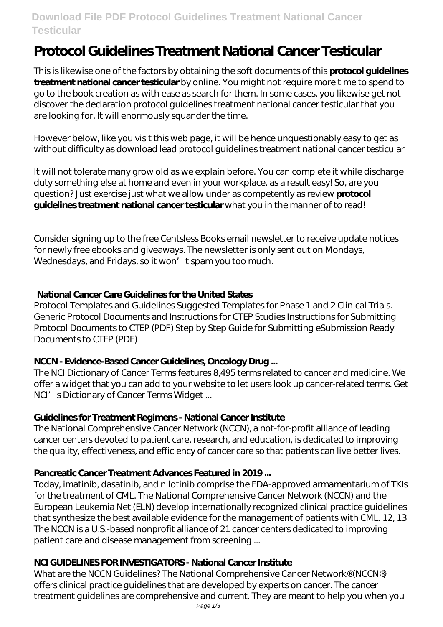# **Download File PDF Protocol Guidelines Treatment National Cancer Testicular**

# **Protocol Guidelines Treatment National Cancer Testicular**

This is likewise one of the factors by obtaining the soft documents of this **protocol guidelines treatment national cancer testicular** by online. You might not require more time to spend to go to the book creation as with ease as search for them. In some cases, you likewise get not discover the declaration protocol guidelines treatment national cancer testicular that you are looking for. It will enormously squander the time.

However below, like you visit this web page, it will be hence unquestionably easy to get as without difficulty as download lead protocol guidelines treatment national cancer testicular

It will not tolerate many grow old as we explain before. You can complete it while discharge duty something else at home and even in your workplace. as a result easy! So, are you question? Just exercise just what we allow under as competently as review **protocol guidelines treatment national cancer testicular** what you in the manner of to read!

Consider signing up to the free Centsless Books email newsletter to receive update notices for newly free ebooks and giveaways. The newsletter is only sent out on Mondays, Wednesdays, and Fridays, so it won' t spam you too much.

#### **National Cancer Care Guidelines for the United States**

Protocol Templates and Guidelines Suggested Templates for Phase 1 and 2 Clinical Trials. Generic Protocol Documents and Instructions for CTEP Studies Instructions for Submitting Protocol Documents to CTEP (PDF) Step by Step Guide for Submitting eSubmission Ready Documents to CTEP (PDF)

# **NCCN - Evidence-Based Cancer Guidelines, Oncology Drug ...**

The NCI Dictionary of Cancer Terms features 8,495 terms related to cancer and medicine. We offer a widget that you can add to your website to let users look up cancer-related terms. Get NCI<sup>'</sup> s Dictionary of Cancer Terms Widget ...

# **Guidelines for Treatment Regimens - National Cancer Institute**

The National Comprehensive Cancer Network (NCCN), a not-for-profit alliance of leading cancer centers devoted to patient care, research, and education, is dedicated to improving the quality, effectiveness, and efficiency of cancer care so that patients can live better lives.

# **Pancreatic Cancer Treatment Advances Featured in 2019 ...**

Today, imatinib, dasatinib, and nilotinib comprise the FDA-approved armamentarium of TKIs for the treatment of CML. The National Comprehensive Cancer Network (NCCN) and the European Leukemia Net (ELN) develop internationally recognized clinical practice guidelines that synthesize the best available evidence for the management of patients with CML. 12, 13 The NCCN is a U.S.-based nonprofit alliance of 21 cancer centers dedicated to improving patient care and disease management from screening ...

# **NCI GUIDELINES FOR INVESTIGATORS - National Cancer Institute**

What are the NCCN Guidelines? The National Comprehensive Cancer Network® (NCCN®) offers clinical practice guidelines that are developed by experts on cancer. The cancer treatment guidelines are comprehensive and current. They are meant to help you when you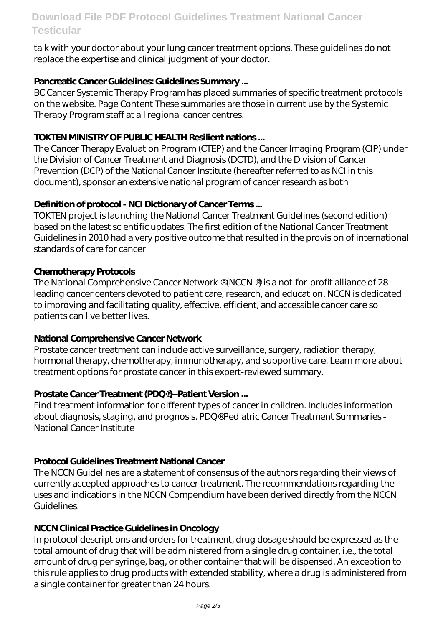# **Download File PDF Protocol Guidelines Treatment National Cancer Testicular**

talk with your doctor about your lung cancer treatment options. These guidelines do not replace the expertise and clinical judgment of your doctor.

#### **Pancreatic Cancer Guidelines: Guidelines Summary ...**

BC Cancer Systemic Therapy Program has placed summaries of specific treatment protocols on the website. Page Content These summaries are those in current use by the Systemic Therapy Program staff at all regional cancer centres.

#### **TOKTEN MINISTRY OF PUBLIC HEALTH Resilient nations ...**

The Cancer Therapy Evaluation Program (CTEP) and the Cancer Imaging Program (CIP) under the Division of Cancer Treatment and Diagnosis (DCTD), and the Division of Cancer Prevention (DCP) of the National Cancer Institute (hereafter referred to as NCI in this document), sponsor an extensive national program of cancer research as both

#### **Definition of protocol - NCI Dictionary of Cancer Terms ...**

TOKTEN project is launching the National Cancer Treatment Guidelines (second edition) based on the latest scientific updates. The first edition of the National Cancer Treatment Guidelines in 2010 had a very positive outcome that resulted in the provision of international standards of care for cancer

#### **Chemotherapy Protocols**

The National Comprehensive Cancer Network ® (NCCN ®) is a not-for-profit alliance of 28 leading cancer centers devoted to patient care, research, and education. NCCN is dedicated to improving and facilitating quality, effective, efficient, and accessible cancer care so patients can live better lives.

#### **National Comprehensive Cancer Network**

Prostate cancer treatment can include active surveillance, surgery, radiation therapy, hormonal therapy, chemotherapy, immunotherapy, and supportive care. Learn more about treatment options for prostate cancer in this expert-reviewed summary.

#### **Prostate Cancer Treatment (PDQ®)–Patient Version ...**

Find treatment information for different types of cancer in children. Includes information about diagnosis, staging, and prognosis. PDQ® Pediatric Cancer Treatment Summaries - National Cancer Institute

# **Protocol Guidelines Treatment National Cancer**

The NCCN Guidelines are a statement of consensus of the authors regarding their views of currently accepted approaches to cancer treatment. The recommendations regarding the uses and indications in the NCCN Compendium have been derived directly from the NCCN Guidelines.

#### **NCCN Clinical Practice Guidelines in Oncology**

In protocol descriptions and orders for treatment, drug dosage should be expressed as the total amount of drug that will be administered from a single drug container, i.e., the total amount of drug per syringe, bag, or other container that will be dispensed. An exception to this rule applies to drug products with extended stability, where a drug is administered from a single container for greater than 24 hours.